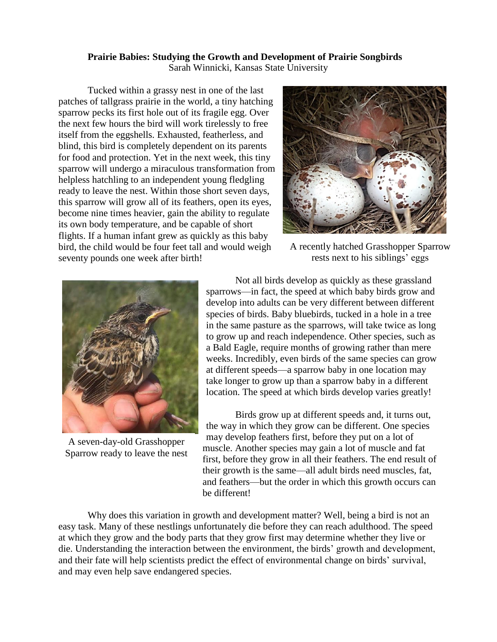## **Prairie Babies: Studying the Growth and Development of Prairie Songbirds**

Sarah Winnicki, Kansas State University

Tucked within a grassy nest in one of the last patches of tallgrass prairie in the world, a tiny hatching sparrow pecks its first hole out of its fragile egg. Over the next few hours the bird will work tirelessly to free itself from the eggshells. Exhausted, featherless, and blind, this bird is completely dependent on its parents for food and protection. Yet in the next week, this tiny sparrow will undergo a miraculous transformation from helpless hatchling to an independent young fledgling ready to leave the nest. Within those short seven days, this sparrow will grow all of its feathers, open its eyes, become nine times heavier, gain the ability to regulate its own body temperature, and be capable of short flights. If a human infant grew as quickly as this baby bird, the child would be four feet tall and would weigh seventy pounds one week after birth!



A recently hatched Grasshopper Sparrow rests next to his siblings' eggs



A seven-day-old Grasshopper Sparrow ready to leave the nest

Not all birds develop as quickly as these grassland sparrows—in fact, the speed at which baby birds grow and develop into adults can be very different between different species of birds. Baby bluebirds, tucked in a hole in a tree in the same pasture as the sparrows, will take twice as long to grow up and reach independence. Other species, such as a Bald Eagle, require months of growing rather than mere weeks. Incredibly, even birds of the same species can grow at different speeds—a sparrow baby in one location may take longer to grow up than a sparrow baby in a different location. The speed at which birds develop varies greatly!

Birds grow up at different speeds and, it turns out, the way in which they grow can be different. One species may develop feathers first, before they put on a lot of muscle. Another species may gain a lot of muscle and fat first, before they grow in all their feathers. The end result of their growth is the same—all adult birds need muscles, fat, and feathers—but the order in which this growth occurs can be different!

Why does this variation in growth and development matter? Well, being a bird is not an easy task. Many of these nestlings unfortunately die before they can reach adulthood. The speed at which they grow and the body parts that they grow first may determine whether they live or die. Understanding the interaction between the environment, the birds' growth and development, and their fate will help scientists predict the effect of environmental change on birds' survival, and may even help save endangered species.